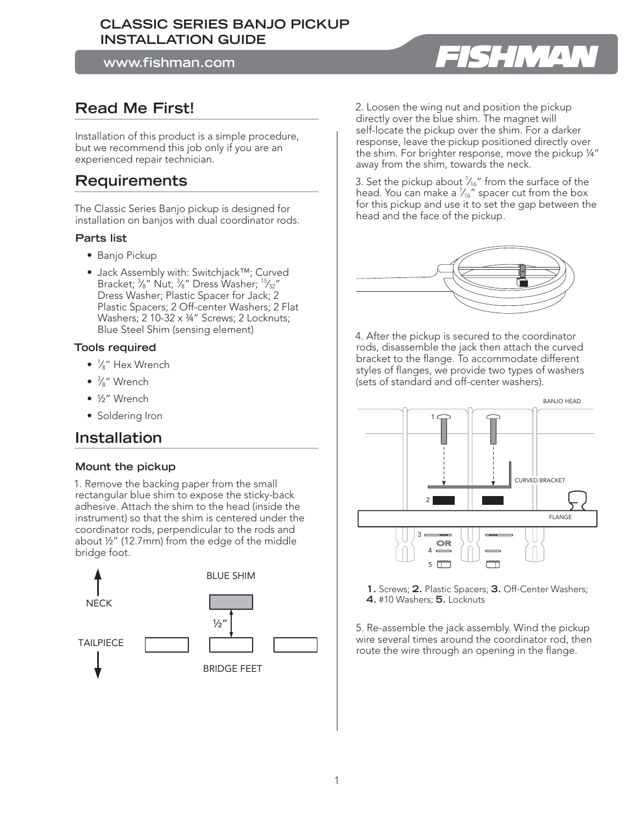### **CLASSIC SERIES BANJO PICKUP INSTALLATION GUIDE**

**www.fishman.com**

## **Read Me First!**

Installation of this product is a simple procedure, but we recommend this job only if you are an experienced repair technician.

## **Requirements**

The Classic Series Banjo pickup is designed for installation on banjos with dual coordinator rods.

#### **Parts list**

- Banjo Pickup
- Jack Assembly with: Switchjack™; Curved Bracket;  $\frac{3}{8}$ " Nut;  $\frac{3}{8}$ " Dress Washer;  $\frac{15}{32}$ " Dress Washer; Plastic Spacer for Jack; 2 Plastic Spacers; 2 Off-center Washers; 2 Flat Washers; 2 10-32 x 34" Screws; 2 Locknuts; Blue Steel Shim (sensing element)

#### **Tools required**

- $\bullet$   $\frac{1}{8}$ " Hex Wrench
- <sup>3</sup> ⁄8" Wrench
- ½" Wrench
- Soldering Iron

## **Installation**

#### **Mount the pickup**

1. Remove the backing paper from the small rectangular blue shim to expose the sticky-back adhesive. Attach the shim to the head (inside the instrument) so that the shim is centered under the coordinator rods, perpendicular to the rods and about ½" (12.7mm) from the edge of the middle bridge foot.



2. Loosen the wing nut and position the pickup directly over the blue shim. The magnet will self-locate the pickup over the shim. For a darker response, leave the pickup positioned directly over the shim. For brighter response, move the pickup ¼" away from the shim, towards the neck.

3. Set the pickup about  $\frac{1}{16}$ " from the surface of the head. You can make a  $\frac{1}{4}$  spacer cut from the box for this pickup and use it to set the gap between the head and the face of the pickup.



4. After the pickup is secured to the coordinator rods, disassemble the jack then attach the curved bracket to the flange. To accommodate different styles of flanges, we provide two types of washers (sets of standard and off-center washers).





5. Re-assemble the jack assembly. Wind the pickup wire several times around the coordinator rod, then route the wire through an opening in the flange.

# SHMA